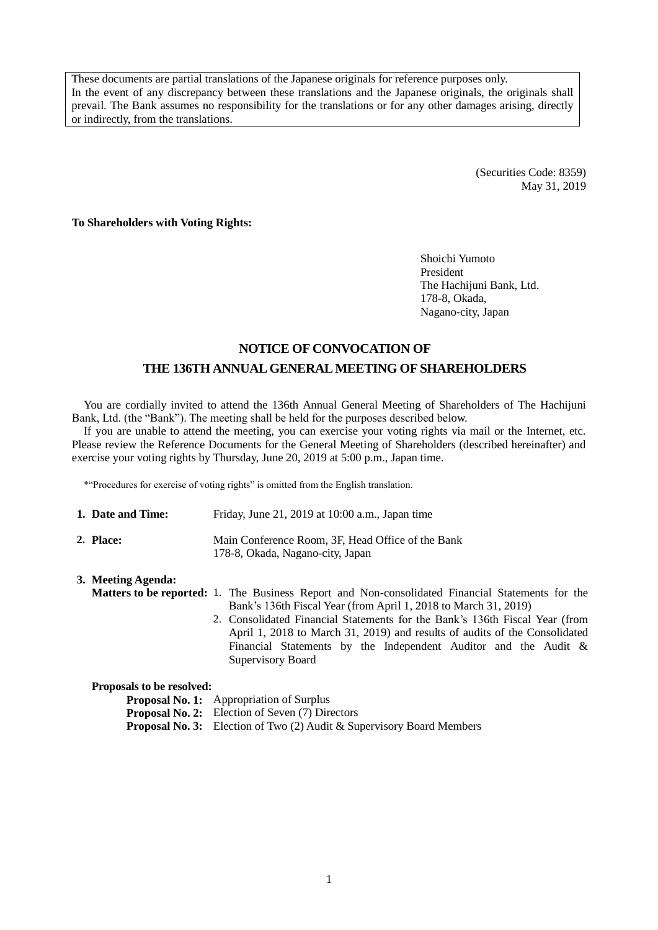These documents are partial translations of the Japanese originals for reference purposes only. In the event of any discrepancy between these translations and the Japanese originals, the originals shall prevail. The Bank assumes no responsibility for the translations or for any other damages arising, directly or indirectly, from the translations.

> (Securities Code: 8359) May 31, 2019

**To Shareholders with Voting Rights:**

Shoichi Yumoto President The Hachijuni Bank, Ltd. 178-8, Okada, Nagano-city, Japan

## **NOTICE OF CONVOCATION OF THE 136TH ANNUAL GENERAL MEETING OF SHAREHOLDERS**

You are cordially invited to attend the 136th Annual General Meeting of Shareholders of The Hachijuni Bank, Ltd. (the "Bank"). The meeting shall be held for the purposes described below.

If you are unable to attend the meeting, you can exercise your voting rights via mail or the Internet, etc. Please review the Reference Documents for the General Meeting of Shareholders (described hereinafter) and exercise your voting rights by Thursday, June 20, 2019 at 5:00 p.m., Japan time.

\*"Procedures for exercise of voting rights" is omitted from the English translation.

| 1. Date and Time: | Friday, June 21, 2019 at $10:00$ a.m., Japan time                                     |
|-------------------|---------------------------------------------------------------------------------------|
| 2. Place:         | Main Conference Room. 3F. Head Office of the Bank<br>178-8, Okada, Nagano-city, Japan |

### **3. Meeting Agenda: Matters to be reported:** 1. The Business Report and Non-consolidated Financial Statements for the Bank's 136th Fiscal Year (from April 1, 2018 to March 31, 2019) 2. Consolidated Financial Statements for the Bank's 136th Fiscal Year (from

April 1, 2018 to March 31, 2019) and results of audits of the Consolidated Financial Statements by the Independent Auditor and the Audit & Supervisory Board

| Proposals to be resolved: |  |  |
|---------------------------|--|--|
|                           |  |  |

**Proposal No. 1:** Appropriation of Surplus **Proposal No. 2:** Election of Seven (7) Directors **Proposal No. 3:** Election of Two (2) Audit & Supervisory Board Members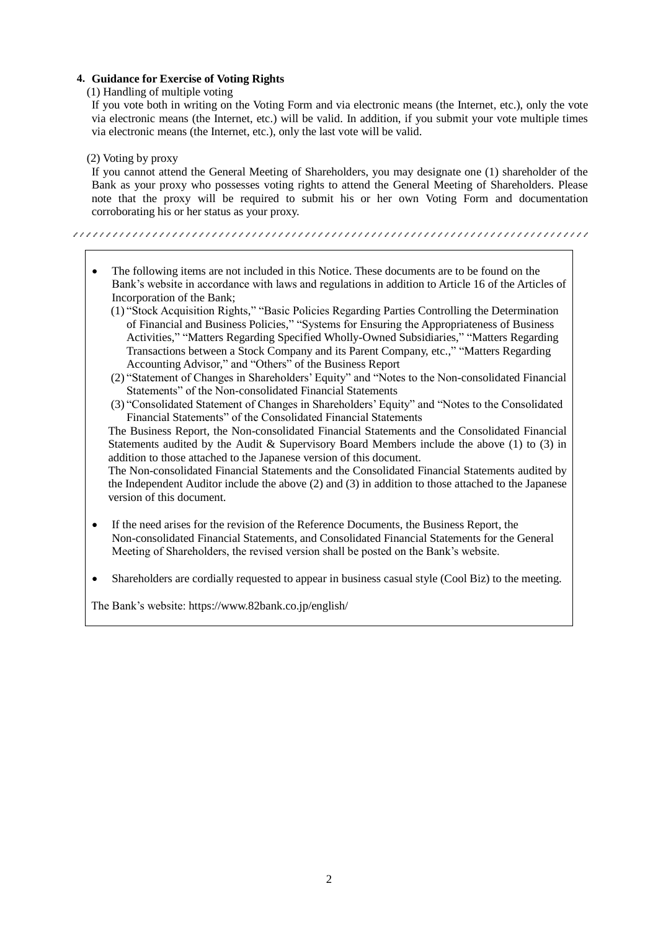### **4. Guidance for Exercise of Voting Rights**

(1) Handling of multiple voting

If you vote both in writing on the Voting Form and via electronic means (the Internet, etc.), only the vote via electronic means (the Internet, etc.) will be valid. In addition, if you submit your vote multiple times via electronic means (the Internet, etc.), only the last vote will be valid.

(2) Voting by proxy

If you cannot attend the General Meeting of Shareholders, you may designate one (1) shareholder of the Bank as your proxy who possesses voting rights to attend the General Meeting of Shareholders. Please note that the proxy will be required to submit his or her own Voting Form and documentation corroborating his or her status as your proxy.

- The following items are not included in this Notice. These documents are to be found on the Bank's website in accordance with laws and regulations in addition to Article 16 of the Articles of Incorporation of the Bank;
	- (1) "Stock Acquisition Rights," "Basic Policies Regarding Parties Controlling the Determination of Financial and Business Policies," "Systems for Ensuring the Appropriateness of Business Activities," "Matters Regarding Specified Wholly-Owned Subsidiaries," "Matters Regarding Transactions between a Stock Company and its Parent Company, etc.," "Matters Regarding Accounting Advisor," and "Others" of the Business Report
	- (2) "Statement of Changes in Shareholders' Equity" and "Notes to the Non-consolidated Financial Statements" of the Non-consolidated Financial Statements
	- (3) "Consolidated Statement of Changes in Shareholders' Equity" and "Notes to the Consolidated Financial Statements" of the Consolidated Financial Statements

The Business Report, the Non-consolidated Financial Statements and the Consolidated Financial Statements audited by the Audit & Supervisory Board Members include the above (1) to (3) in addition to those attached to the Japanese version of this document.

The Non-consolidated Financial Statements and the Consolidated Financial Statements audited by the Independent Auditor include the above (2) and (3) in addition to those attached to the Japanese version of this document.

- If the need arises for the revision of the Reference Documents, the Business Report, the Non-consolidated Financial Statements, and Consolidated Financial Statements for the General Meeting of Shareholders, the revised version shall be posted on the Bank's website.
- Shareholders are cordially requested to appear in business casual style (Cool Biz) to the meeting.

The Bank's website: https://www.82bank.co.jp/english/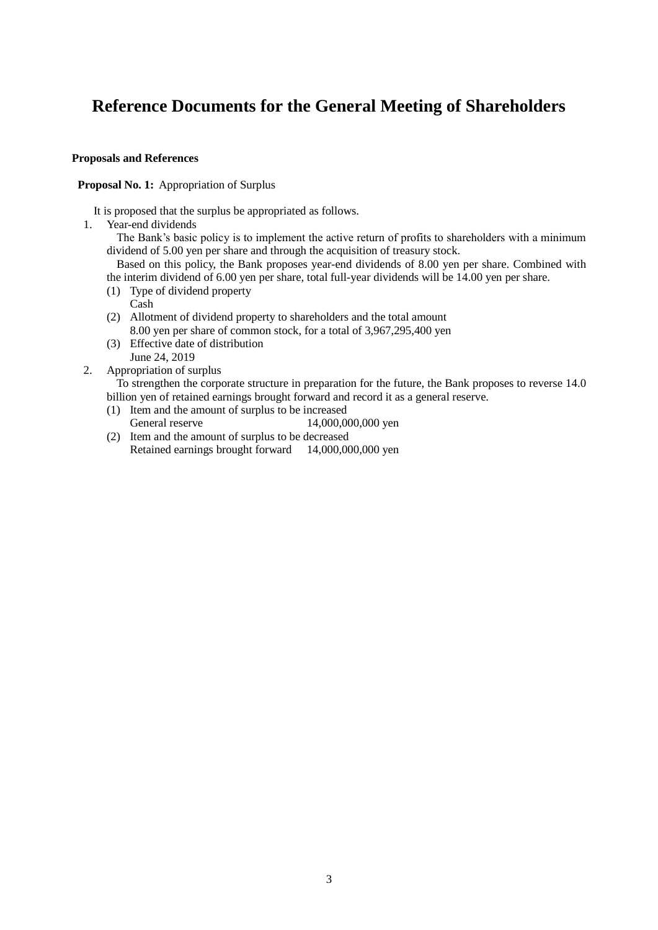# **Reference Documents for the General Meeting of Shareholders**

### **Proposals and References**

### **Proposal No. 1:** Appropriation of Surplus

It is proposed that the surplus be appropriated as follows.

1. Year-end dividends

The Bank's basic policy is to implement the active return of profits to shareholders with a minimum dividend of 5.00 yen per share and through the acquisition of treasury stock.

Based on this policy, the Bank proposes year-end dividends of 8.00 yen per share. Combined with the interim dividend of 6.00 yen per share, total full-year dividends will be 14.00 yen per share.

- (1) Type of dividend property
	- Cash
- (2) Allotment of dividend property to shareholders and the total amount 8.00 yen per share of common stock, for a total of 3,967,295,400 yen
- (3) Effective date of distribution June 24, 2019
- 2. Appropriation of surplus

To strengthen the corporate structure in preparation for the future, the Bank proposes to reverse 14.0 billion yen of retained earnings brought forward and record it as a general reserve.

- (1) Item and the amount of surplus to be increased
- General reserve 14,000,000,000 yen
- (2) Item and the amount of surplus to be decreased Retained earnings brought forward 14,000,000,000 yen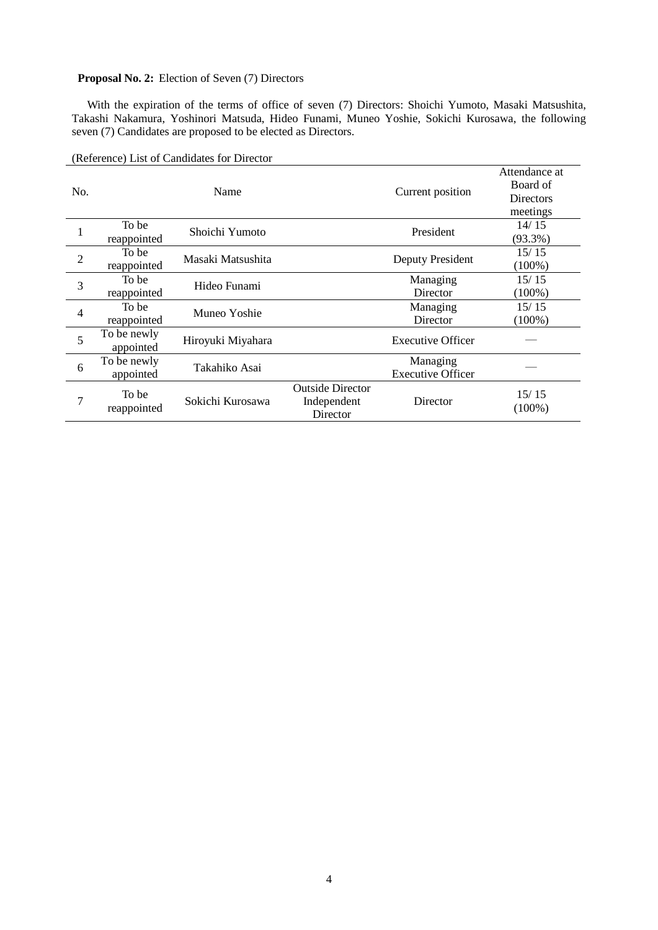### **Proposal No. 2:** Election of Seven (7) Directors

With the expiration of the terms of office of seven (7) Directors: Shoichi Yumoto, Masaki Matsushita, Takashi Nakamura, Yoshinori Matsuda, Hideo Funami, Muneo Yoshie, Sokichi Kurosawa, the following seven (7) Candidates are proposed to be elected as Directors.

| No.            |                          | Name              |                                                    | Current position                     | Attendance at<br>Board of<br><b>Directors</b><br>meetings |
|----------------|--------------------------|-------------------|----------------------------------------------------|--------------------------------------|-----------------------------------------------------------|
|                | To be<br>reappointed     | Shoichi Yumoto    |                                                    | President                            | 14/15<br>$(93.3\%)$                                       |
| $\overline{2}$ | To be<br>reappointed     | Masaki Matsushita |                                                    | Deputy President                     | 15/15<br>$(100\%)$                                        |
| 3              | To be<br>reappointed     | Hideo Funami      |                                                    | Managing<br>Director                 | 15/15<br>$(100\%)$                                        |
| 4              | To be<br>reappointed     | Muneo Yoshie      |                                                    | Managing<br>Director                 | 15/15<br>$(100\%)$                                        |
| 5              | To be newly<br>appointed | Hiroyuki Miyahara |                                                    | <b>Executive Officer</b>             |                                                           |
| 6              | To be newly<br>appointed | Takahiko Asai     |                                                    | Managing<br><b>Executive Officer</b> |                                                           |
| 7              | To be<br>reappointed     | Sokichi Kurosawa  | <b>Outside Director</b><br>Independent<br>Director | Director                             | 15/15<br>$(100\%)$                                        |

(Reference) List of Candidates for Director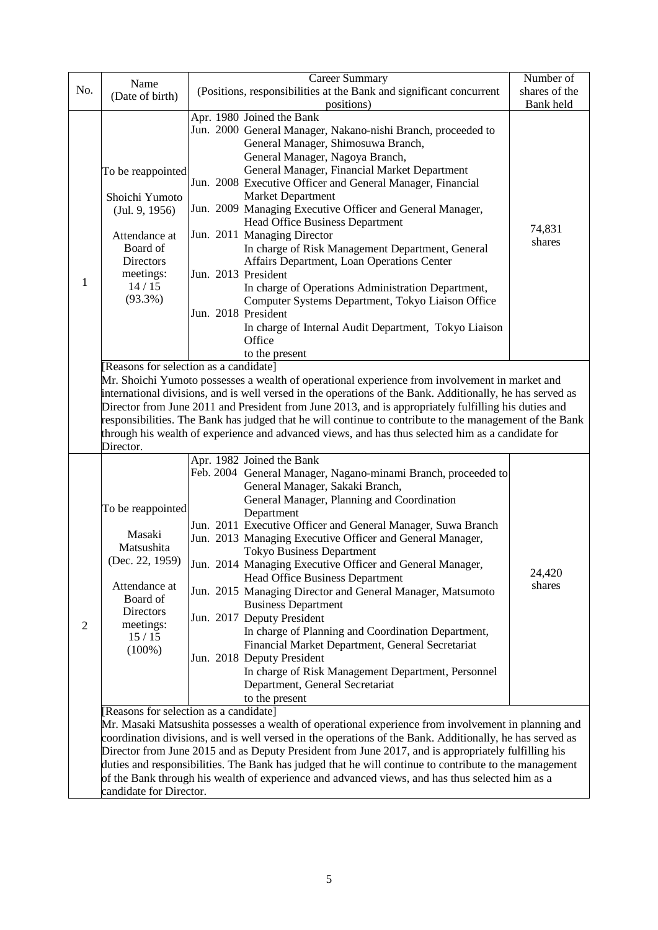| No. | Name<br>(Date of birth)                                                                                                                    | <b>Career Summary</b><br>(Positions, responsibilities at the Bank and significant concurrent                                                                                                                                                                                                                                                                                                                                                                                                                                                                                                                                                                                                                                                                              | Number of<br>shares of the |
|-----|--------------------------------------------------------------------------------------------------------------------------------------------|---------------------------------------------------------------------------------------------------------------------------------------------------------------------------------------------------------------------------------------------------------------------------------------------------------------------------------------------------------------------------------------------------------------------------------------------------------------------------------------------------------------------------------------------------------------------------------------------------------------------------------------------------------------------------------------------------------------------------------------------------------------------------|----------------------------|
|     |                                                                                                                                            | positions)                                                                                                                                                                                                                                                                                                                                                                                                                                                                                                                                                                                                                                                                                                                                                                | Bank held                  |
| 1   | To be reappointed<br>Shoichi Yumoto<br>(Jul. 9, 1956)<br>Attendance at<br>Board of<br><b>Directors</b><br>meetings:<br>14/15<br>$(93.3\%)$ | Apr. 1980 Joined the Bank<br>Jun. 2000 General Manager, Nakano-nishi Branch, proceeded to<br>General Manager, Shimosuwa Branch,<br>General Manager, Nagoya Branch,<br>General Manager, Financial Market Department<br>Jun. 2008 Executive Officer and General Manager, Financial<br><b>Market Department</b><br>Jun. 2009 Managing Executive Officer and General Manager,<br>Head Office Business Department<br>Jun. 2011 Managing Director<br>In charge of Risk Management Department, General<br>Affairs Department, Loan Operations Center<br>Jun. 2013 President<br>In charge of Operations Administration Department,<br>Computer Systems Department, Tokyo Liaison Office<br>Jun. 2018 President<br>In charge of Internal Audit Department, Tokyo Liaison<br>Office | 74,831<br>shares           |
|     |                                                                                                                                            | to the present<br>[Reasons for selection as a candidate]                                                                                                                                                                                                                                                                                                                                                                                                                                                                                                                                                                                                                                                                                                                  |                            |
|     | Director.                                                                                                                                  | Mr. Shoichi Yumoto possesses a wealth of operational experience from involvement in market and<br>international divisions, and is well versed in the operations of the Bank. Additionally, he has served as<br>Director from June 2011 and President from June 2013, and is appropriately fulfilling his duties and<br>responsibilities. The Bank has judged that he will continue to contribute to the management of the Bank<br>through his wealth of experience and advanced views, and has thus selected him as a candidate for                                                                                                                                                                                                                                       |                            |
|     |                                                                                                                                            | Apr. 1982 Joined the Bank<br>Feb. 2004 General Manager, Nagano-minami Branch, proceeded to<br>General Manager, Sakaki Branch,<br>General Manager, Planning and Coordination                                                                                                                                                                                                                                                                                                                                                                                                                                                                                                                                                                                               |                            |
|     | To be reappointed                                                                                                                          | Department                                                                                                                                                                                                                                                                                                                                                                                                                                                                                                                                                                                                                                                                                                                                                                |                            |
|     | Masaki<br>Matsushita<br>(Dec. 22, 1959)                                                                                                    | Jun. 2011 Executive Officer and General Manager, Suwa Branch<br>Jun. 2013 Managing Executive Officer and General Manager,<br><b>Tokyo Business Department</b><br>Jun. 2014 Managing Executive Officer and General Manager,                                                                                                                                                                                                                                                                                                                                                                                                                                                                                                                                                |                            |
|     | Attendance at<br>Board of<br>Directors                                                                                                     | Head Office Business Department<br>Jun. 2015 Managing Director and General Manager, Matsumoto<br><b>Business Department</b>                                                                                                                                                                                                                                                                                                                                                                                                                                                                                                                                                                                                                                               | 24,420<br>shares           |
| 2   | meetings:<br>15/15<br>$(100\%)$                                                                                                            | Jun. 2017 Deputy President<br>In charge of Planning and Coordination Department,<br>Financial Market Department, General Secretariat<br>Jun. 2018 Deputy President<br>In charge of Risk Management Department, Personnel<br>Department, General Secretariat<br>to the present                                                                                                                                                                                                                                                                                                                                                                                                                                                                                             |                            |
|     |                                                                                                                                            | [Reasons for selection as a candidate]<br>Mr. Masaki Matsushita possesses a wealth of operational experience from involvement in planning and<br>coordination divisions, and is well versed in the operations of the Bank. Additionally, he has served as<br>Director from June 2015 and as Deputy President from June 2017, and is appropriately fulfilling his<br>duties and responsibilities. The Bank has judged that he will continue to contribute to the management<br>of the Bank through his wealth of experience and advanced views, and has thus selected him as a                                                                                                                                                                                             |                            |
|     | candidate for Director.                                                                                                                    |                                                                                                                                                                                                                                                                                                                                                                                                                                                                                                                                                                                                                                                                                                                                                                           |                            |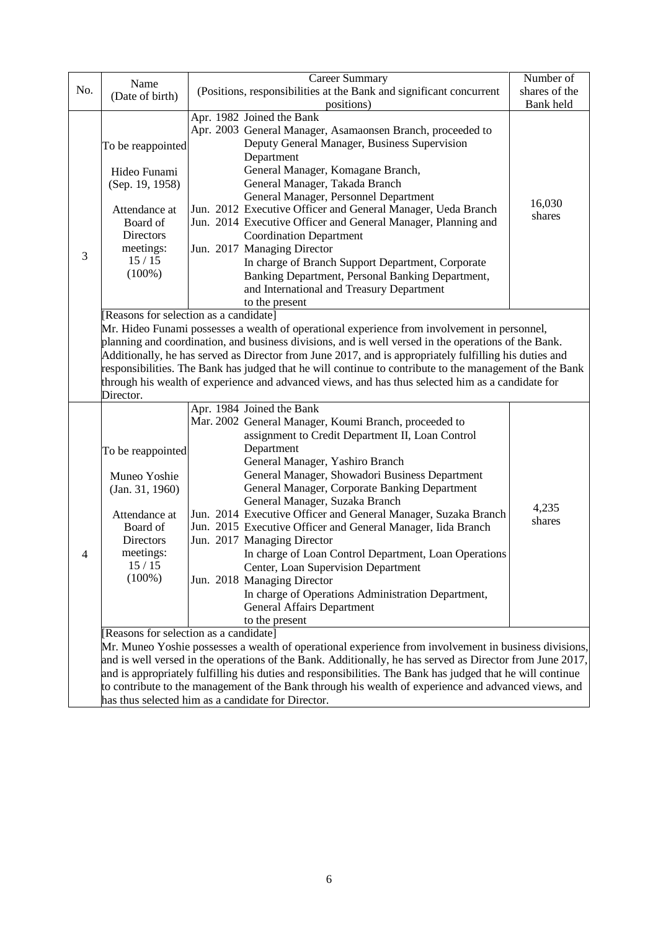|     | Name                                                                                                                                                                                                                                                                                                                                                                                                                                                                                                                                        | Career Summary                                                                                                                                                                                                                                                                                                                                                                                                                                                                                                                                                                                                                                                                                                                            | Number of        |  |  |
|-----|---------------------------------------------------------------------------------------------------------------------------------------------------------------------------------------------------------------------------------------------------------------------------------------------------------------------------------------------------------------------------------------------------------------------------------------------------------------------------------------------------------------------------------------------|-------------------------------------------------------------------------------------------------------------------------------------------------------------------------------------------------------------------------------------------------------------------------------------------------------------------------------------------------------------------------------------------------------------------------------------------------------------------------------------------------------------------------------------------------------------------------------------------------------------------------------------------------------------------------------------------------------------------------------------------|------------------|--|--|
| No. | (Date of birth)                                                                                                                                                                                                                                                                                                                                                                                                                                                                                                                             | (Positions, responsibilities at the Bank and significant concurrent                                                                                                                                                                                                                                                                                                                                                                                                                                                                                                                                                                                                                                                                       | shares of the    |  |  |
|     |                                                                                                                                                                                                                                                                                                                                                                                                                                                                                                                                             | positions)                                                                                                                                                                                                                                                                                                                                                                                                                                                                                                                                                                                                                                                                                                                                | Bank held        |  |  |
| 3   | To be reappointed<br>Hideo Funami<br>(Sep. 19, 1958)<br>Attendance at<br>Board of<br><b>Directors</b><br>meetings:<br>15/15                                                                                                                                                                                                                                                                                                                                                                                                                 | Apr. 1982 Joined the Bank<br>Apr. 2003 General Manager, Asamaonsen Branch, proceeded to<br>Deputy General Manager, Business Supervision<br>Department<br>General Manager, Komagane Branch,<br>General Manager, Takada Branch<br>General Manager, Personnel Department<br>Jun. 2012 Executive Officer and General Manager, Ueda Branch<br>Jun. 2014 Executive Officer and General Manager, Planning and<br><b>Coordination Department</b><br>Jun. 2017 Managing Director                                                                                                                                                                                                                                                                   | 16,030<br>shares |  |  |
|     | $(100\%)$                                                                                                                                                                                                                                                                                                                                                                                                                                                                                                                                   | In charge of Branch Support Department, Corporate<br>Banking Department, Personal Banking Department,<br>and International and Treasury Department<br>to the present<br>[Reasons for selection as a candidate]                                                                                                                                                                                                                                                                                                                                                                                                                                                                                                                            |                  |  |  |
|     | Mr. Hideo Funami possesses a wealth of operational experience from involvement in personnel,<br>planning and coordination, and business divisions, and is well versed in the operations of the Bank.<br>Additionally, he has served as Director from June 2017, and is appropriately fulfilling his duties and<br>responsibilities. The Bank has judged that he will continue to contribute to the management of the Bank<br>through his wealth of experience and advanced views, and has thus selected him as a candidate for<br>Director. |                                                                                                                                                                                                                                                                                                                                                                                                                                                                                                                                                                                                                                                                                                                                           |                  |  |  |
| 4   | To be reappointed<br>Muneo Yoshie<br>(Jan. 31, 1960)<br>Attendance at<br>Board of<br><b>Directors</b><br>meetings:<br>$15\,/\,15$<br>$(100\%)$                                                                                                                                                                                                                                                                                                                                                                                              | Apr. 1984 Joined the Bank<br>Mar. 2002 General Manager, Koumi Branch, proceeded to<br>assignment to Credit Department II, Loan Control<br>Department<br>General Manager, Yashiro Branch<br>General Manager, Showadori Business Department<br>General Manager, Corporate Banking Department<br>General Manager, Suzaka Branch<br>Jun. 2014 Executive Officer and General Manager, Suzaka Branch<br>Jun. 2015 Executive Officer and General Manager, Iida Branch<br>Jun. 2017 Managing Director<br>In charge of Loan Control Department, Loan Operations<br>Center, Loan Supervision Department<br>Jun. 2018 Managing Director<br>In charge of Operations Administration Department,<br><b>General Affairs Department</b><br>to the present | 4,235<br>shares  |  |  |
|     | Reasons for selection as a candidate]<br>Mr. Muneo Yoshie possesses a wealth of operational experience from involvement in business divisions,<br>and is well versed in the operations of the Bank. Additionally, he has served as Director from June 2017,<br>and is appropriately fulfilling his duties and responsibilities. The Bank has judged that he will continue<br>to contribute to the management of the Bank through his wealth of experience and advanced views, and<br>has thus selected him as a candidate for Director.     |                                                                                                                                                                                                                                                                                                                                                                                                                                                                                                                                                                                                                                                                                                                                           |                  |  |  |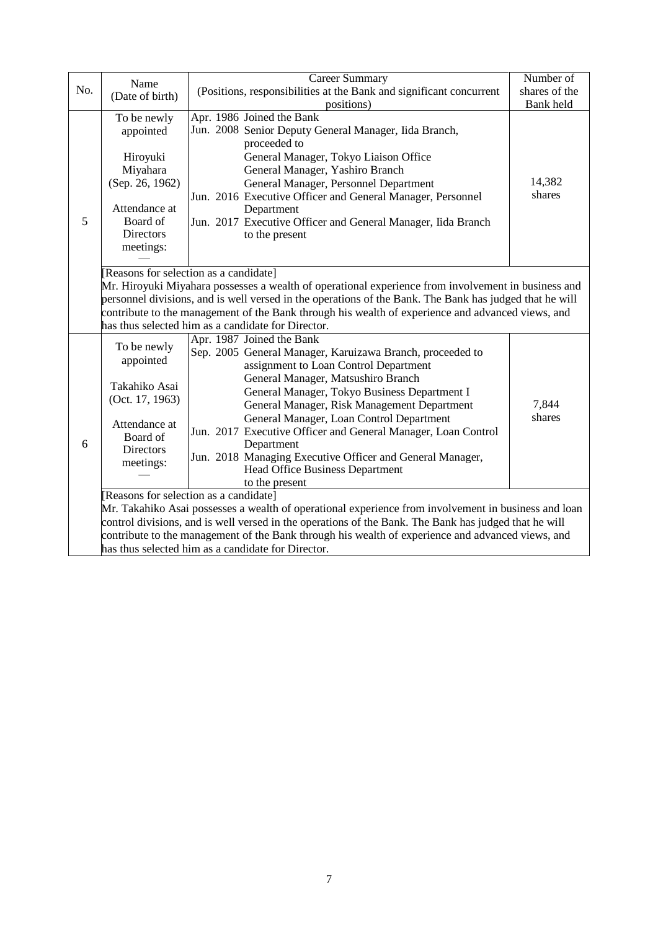|     | Name                                                                                                                                                                                                                                                                                                                                                                                                                | <b>Career Summary</b>                                                                                                                                                                                                                                                                                                                                                                                                                                                                                             | Number of        |  |
|-----|---------------------------------------------------------------------------------------------------------------------------------------------------------------------------------------------------------------------------------------------------------------------------------------------------------------------------------------------------------------------------------------------------------------------|-------------------------------------------------------------------------------------------------------------------------------------------------------------------------------------------------------------------------------------------------------------------------------------------------------------------------------------------------------------------------------------------------------------------------------------------------------------------------------------------------------------------|------------------|--|
| No. | (Date of birth)                                                                                                                                                                                                                                                                                                                                                                                                     | (Positions, responsibilities at the Bank and significant concurrent                                                                                                                                                                                                                                                                                                                                                                                                                                               | shares of the    |  |
|     |                                                                                                                                                                                                                                                                                                                                                                                                                     | positions)                                                                                                                                                                                                                                                                                                                                                                                                                                                                                                        | Bank held        |  |
| 5   | To be newly<br>appointed<br>Hiroyuki<br>Miyahara<br>(Sep. 26, 1962)<br>Attendance at<br>Board of<br><b>Directors</b><br>meetings:                                                                                                                                                                                                                                                                                   | Apr. 1986 Joined the Bank<br>Jun. 2008 Senior Deputy General Manager, Iida Branch,<br>proceeded to<br>General Manager, Tokyo Liaison Office<br>General Manager, Yashiro Branch<br>General Manager, Personnel Department<br>Jun. 2016 Executive Officer and General Manager, Personnel<br>Department<br>Jun. 2017 Executive Officer and General Manager, Iida Branch<br>to the present                                                                                                                             | 14,382<br>shares |  |
|     | [Reasons for selection as a candidate]<br>Mr. Hiroyuki Miyahara possesses a wealth of operational experience from involvement in business and<br>personnel divisions, and is well versed in the operations of the Bank. The Bank has judged that he will<br>contribute to the management of the Bank through his wealth of experience and advanced views, and<br>has thus selected him as a candidate for Director. |                                                                                                                                                                                                                                                                                                                                                                                                                                                                                                                   |                  |  |
| 6   | To be newly<br>appointed<br>Takahiko Asai<br>(Oct. 17, 1963)<br>Attendance at<br>Board of<br><b>Directors</b><br>meetings:                                                                                                                                                                                                                                                                                          | Apr. 1987 Joined the Bank<br>Sep. 2005 General Manager, Karuizawa Branch, proceeded to<br>assignment to Loan Control Department<br>General Manager, Matsushiro Branch<br>General Manager, Tokyo Business Department I<br>General Manager, Risk Management Department<br>General Manager, Loan Control Department<br>Jun. 2017 Executive Officer and General Manager, Loan Control<br>Department<br>Jun. 2018 Managing Executive Officer and General Manager,<br>Head Office Business Department<br>to the present | 7,844<br>shares  |  |
|     | Reasons for selection as a candidate]                                                                                                                                                                                                                                                                                                                                                                               |                                                                                                                                                                                                                                                                                                                                                                                                                                                                                                                   |                  |  |
|     | Mr. Takahiko Asai possesses a wealth of operational experience from involvement in business and loan                                                                                                                                                                                                                                                                                                                |                                                                                                                                                                                                                                                                                                                                                                                                                                                                                                                   |                  |  |
|     | control divisions, and is well versed in the operations of the Bank. The Bank has judged that he will                                                                                                                                                                                                                                                                                                               |                                                                                                                                                                                                                                                                                                                                                                                                                                                                                                                   |                  |  |
|     | contribute to the management of the Bank through his wealth of experience and advanced views, and                                                                                                                                                                                                                                                                                                                   |                                                                                                                                                                                                                                                                                                                                                                                                                                                                                                                   |                  |  |
|     | has thus selected him as a candidate for Director.                                                                                                                                                                                                                                                                                                                                                                  |                                                                                                                                                                                                                                                                                                                                                                                                                                                                                                                   |                  |  |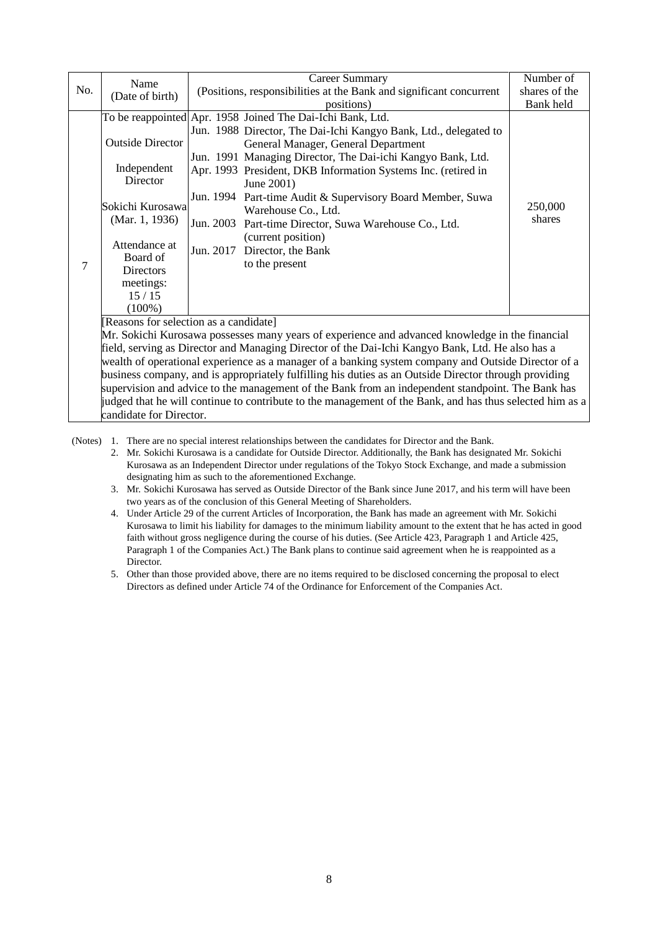|                                                                                                     | Name                                                                                             | <b>Career Summary</b>                                                                                 | Number of         |  |  |
|-----------------------------------------------------------------------------------------------------|--------------------------------------------------------------------------------------------------|-------------------------------------------------------------------------------------------------------|-------------------|--|--|
| No.                                                                                                 | (Date of birth)                                                                                  | (Positions, responsibilities at the Bank and significant concurrent                                   | shares of the     |  |  |
|                                                                                                     |                                                                                                  | positions)                                                                                            | Bank held         |  |  |
|                                                                                                     |                                                                                                  | To be reappointed Apr. 1958 Joined The Dai-Ichi Bank, Ltd.                                            |                   |  |  |
|                                                                                                     |                                                                                                  | Jun. 1988 Director, The Dai-Ichi Kangyo Bank, Ltd., delegated to                                      |                   |  |  |
|                                                                                                     | <b>Outside Director</b>                                                                          | General Manager, General Department                                                                   |                   |  |  |
|                                                                                                     |                                                                                                  | Jun. 1991 Managing Director, The Dai-ichi Kangyo Bank, Ltd.                                           |                   |  |  |
|                                                                                                     | Independent                                                                                      | Apr. 1993 President, DKB Information Systems Inc. (retired in                                         |                   |  |  |
|                                                                                                     | Director                                                                                         | June 2001)                                                                                            |                   |  |  |
|                                                                                                     | Sokichi Kurosawa                                                                                 | Jun. 1994 Part-time Audit & Supervisory Board Member, Suwa                                            |                   |  |  |
|                                                                                                     |                                                                                                  | Warehouse Co., Ltd.                                                                                   | 250,000<br>shares |  |  |
|                                                                                                     | (Mar. 1, 1936)                                                                                   | Jun. 2003 Part-time Director, Suwa Warehouse Co., Ltd.                                                |                   |  |  |
|                                                                                                     | Attendance at                                                                                    | (current position)                                                                                    |                   |  |  |
|                                                                                                     | Board of                                                                                         | Jun. 2017 Director, the Bank                                                                          |                   |  |  |
| 7                                                                                                   | <b>Directors</b>                                                                                 | to the present                                                                                        |                   |  |  |
|                                                                                                     | meetings:                                                                                        |                                                                                                       |                   |  |  |
|                                                                                                     | 15/15                                                                                            |                                                                                                       |                   |  |  |
|                                                                                                     | $(100\%)$                                                                                        |                                                                                                       |                   |  |  |
|                                                                                                     | Reasons for selection as a candidate]                                                            |                                                                                                       |                   |  |  |
|                                                                                                     | Mr. Sokichi Kurosawa possesses many years of experience and advanced knowledge in the financial  |                                                                                                       |                   |  |  |
|                                                                                                     | field, serving as Director and Managing Director of the Dai-Ichi Kangyo Bank, Ltd. He also has a |                                                                                                       |                   |  |  |
| wealth of operational experience as a manager of a banking system company and Outside Director of a |                                                                                                  |                                                                                                       |                   |  |  |
|                                                                                                     |                                                                                                  | business company, and is appropriately fulfilling his duties as an Outside Director through providing |                   |  |  |

supervision and advice to the management of the Bank from an independent standpoint. The Bank has judged that he will continue to contribute to the management of the Bank, and has thus selected him as a candidate for Director.

(Notes) 1. There are no special interest relationships between the candidates for Director and the Bank.

2. Mr. Sokichi Kurosawa is a candidate for Outside Director. Additionally, the Bank has designated Mr. Sokichi Kurosawa as an Independent Director under regulations of the Tokyo Stock Exchange, and made a submission designating him as such to the aforementioned Exchange.

- 3. Mr. Sokichi Kurosawa has served as Outside Director of the Bank since June 2017, and his term will have been two years as of the conclusion of this General Meeting of Shareholders.
- 4. Under Article 29 of the current Articles of Incorporation, the Bank has made an agreement with Mr. Sokichi Kurosawa to limit his liability for damages to the minimum liability amount to the extent that he has acted in good faith without gross negligence during the course of his duties. (See Article 423, Paragraph 1 and Article 425, Paragraph 1 of the Companies Act.) The Bank plans to continue said agreement when he is reappointed as a Director.

5. Other than those provided above, there are no items required to be disclosed concerning the proposal to elect Directors as defined under Article 74 of the Ordinance for Enforcement of the Companies Act.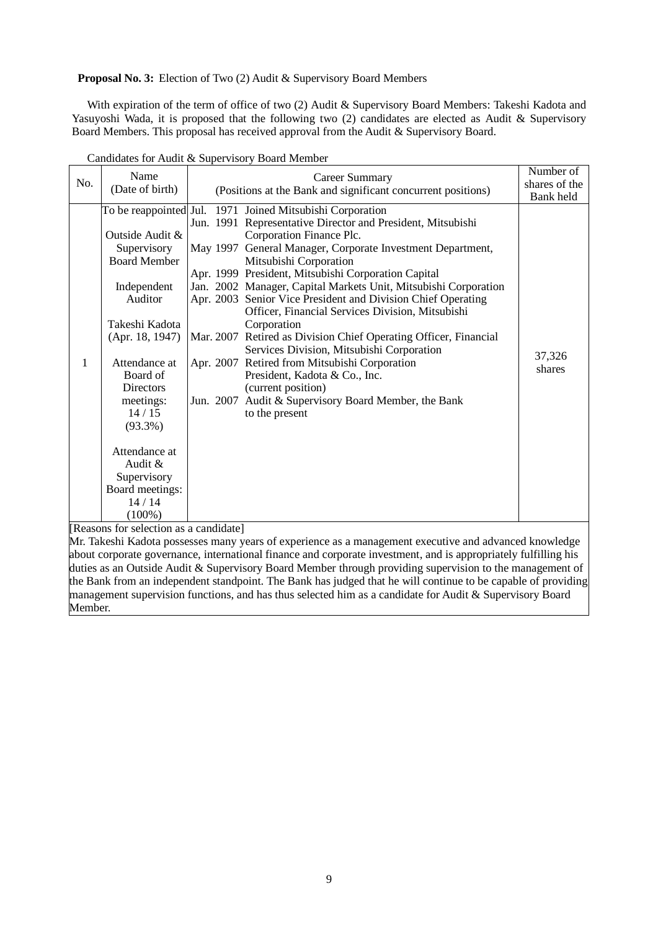**Proposal No. 3:** Election of Two (2) Audit & Supervisory Board Members

With expiration of the term of office of two (2) Audit & Supervisory Board Members: Takeshi Kadota and Yasuyoshi Wada, it is proposed that the following two (2) candidates are elected as Audit & Supervisory Board Members. This proposal has received approval from the Audit & Supervisory Board.

| No. | Name<br>(Date of birth)                                                                                                                                                                                                                                                                       | Career Summary<br>(Positions at the Bank and significant concurrent positions)                                                                                                                                                                                                                                                                                                                                                                                                                                                                                                                                                                                                                                                                                                                               | Number of<br>shares of the<br>Bank held |
|-----|-----------------------------------------------------------------------------------------------------------------------------------------------------------------------------------------------------------------------------------------------------------------------------------------------|--------------------------------------------------------------------------------------------------------------------------------------------------------------------------------------------------------------------------------------------------------------------------------------------------------------------------------------------------------------------------------------------------------------------------------------------------------------------------------------------------------------------------------------------------------------------------------------------------------------------------------------------------------------------------------------------------------------------------------------------------------------------------------------------------------------|-----------------------------------------|
| 1   | Outside Audit &<br>Supervisory<br><b>Board Member</b><br>Independent<br>Auditor<br>Takeshi Kadota<br>(Apr. 18, 1947)<br>Attendance at<br>Board of<br><b>Directors</b><br>meetings:<br>14/15<br>$(93.3\%)$<br>Attendance at<br>Audit &<br>Supervisory<br>Board meetings:<br>14/14<br>$(100\%)$ | To be reappointed Jul. 1971 Joined Mitsubishi Corporation<br>Jun. 1991 Representative Director and President, Mitsubishi<br>Corporation Finance Plc.<br>May 1997 General Manager, Corporate Investment Department,<br>Mitsubishi Corporation<br>Apr. 1999 President, Mitsubishi Corporation Capital<br>Jan. 2002 Manager, Capital Markets Unit, Mitsubishi Corporation<br>Apr. 2003 Senior Vice President and Division Chief Operating<br>Officer, Financial Services Division, Mitsubishi<br>Corporation<br>Mar. 2007 Retired as Division Chief Operating Officer, Financial<br>Services Division, Mitsubishi Corporation<br>Apr. 2007 Retired from Mitsubishi Corporation<br>President, Kadota & Co., Inc.<br>(current position)<br>Jun. 2007 Audit & Supervisory Board Member, the Bank<br>to the present | 37,326<br>shares                        |

Candidates for Audit & Supervisory Board Member

[Reasons for selection as a candidate]

Mr. Takeshi Kadota possesses many years of experience as a management executive and advanced knowledge about corporate governance, international finance and corporate investment, and is appropriately fulfilling his duties as an Outside Audit & Supervisory Board Member through providing supervision to the management of the Bank from an independent standpoint. The Bank has judged that he will continue to be capable of providing management supervision functions, and has thus selected him as a candidate for Audit & Supervisory Board Member.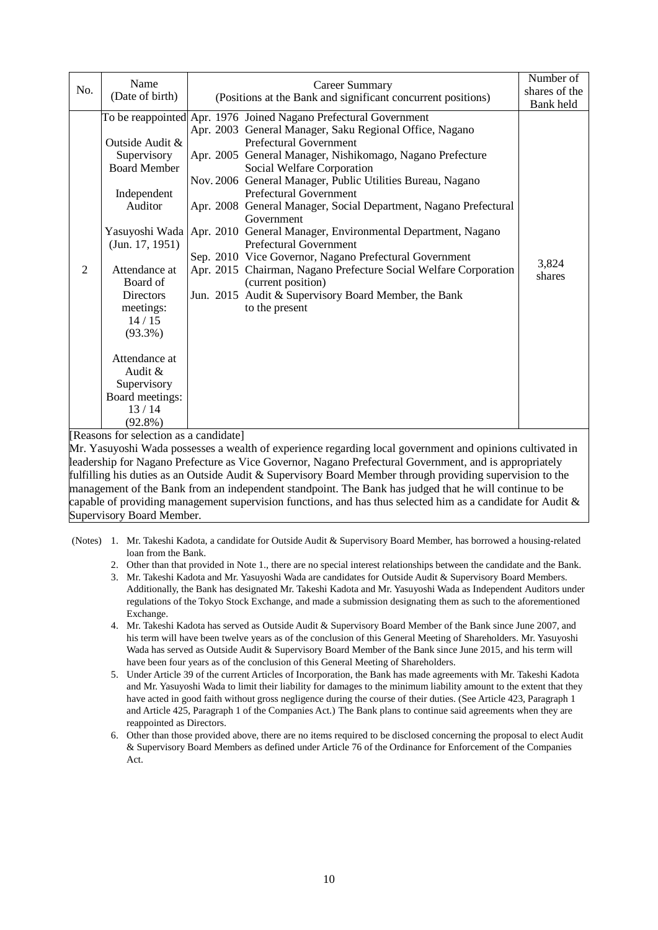| No.            | Name<br>(Date of birth)                                                                                                                                                                                                                                                                 | <b>Career Summary</b><br>(Positions at the Bank and significant concurrent positions)                                                                                                                                                                                                                                                                                                                                                                                                                                                                                                                                                                                                                                                             | Number of<br>shares of the<br>Bank held |
|----------------|-----------------------------------------------------------------------------------------------------------------------------------------------------------------------------------------------------------------------------------------------------------------------------------------|---------------------------------------------------------------------------------------------------------------------------------------------------------------------------------------------------------------------------------------------------------------------------------------------------------------------------------------------------------------------------------------------------------------------------------------------------------------------------------------------------------------------------------------------------------------------------------------------------------------------------------------------------------------------------------------------------------------------------------------------------|-----------------------------------------|
| $\overline{2}$ | Outside Audit &<br>Supervisory<br><b>Board Member</b><br>Independent<br>Auditor<br>Yasuyoshi Wada<br>(Jun. 17, 1951)<br>Attendance at<br>Board of<br>Directors<br>meetings:<br>14/15<br>$(93.3\%)$<br>Attendance at<br>Audit &<br>Supervisory<br>Board meetings:<br>13/14<br>$(92.8\%)$ | To be reappointed Apr. 1976 Joined Nagano Prefectural Government<br>Apr. 2003 General Manager, Saku Regional Office, Nagano<br>Prefectural Government<br>Apr. 2005 General Manager, Nishikomago, Nagano Prefecture<br>Social Welfare Corporation<br>Nov. 2006 General Manager, Public Utilities Bureau, Nagano<br>Prefectural Government<br>Apr. 2008 General Manager, Social Department, Nagano Prefectural<br>Government<br>Apr. 2010 General Manager, Environmental Department, Nagano<br>Prefectural Government<br>Sep. 2010 Vice Governor, Nagano Prefectural Government<br>Apr. 2015 Chairman, Nagano Prefecture Social Welfare Corporation<br>(current position)<br>Jun. 2015 Audit & Supervisory Board Member, the Bank<br>to the present | 3,824<br>shares                         |

[Reasons for selection as a candidate]

Mr. Yasuyoshi Wada possesses a wealth of experience regarding local government and opinions cultivated in leadership for Nagano Prefecture as Vice Governor, Nagano Prefectural Government, and is appropriately fulfilling his duties as an Outside Audit & Supervisory Board Member through providing supervision to the management of the Bank from an independent standpoint. The Bank has judged that he will continue to be capable of providing management supervision functions, and has thus selected him as a candidate for Audit  $\&$ Supervisory Board Member.

- (Notes) 1. Mr. Takeshi Kadota, a candidate for Outside Audit & Supervisory Board Member, has borrowed a housing-related loan from the Bank.
	- 2. Other than that provided in Note 1., there are no special interest relationships between the candidate and the Bank.
	- 3. Mr. Takeshi Kadota and Mr. Yasuyoshi Wada are candidates for Outside Audit & Supervisory Board Members. Additionally, the Bank has designated Mr. Takeshi Kadota and Mr. Yasuyoshi Wada as Independent Auditors under regulations of the Tokyo Stock Exchange, and made a submission designating them as such to the aforementioned Exchange.
	- 4. Mr. Takeshi Kadota has served as Outside Audit & Supervisory Board Member of the Bank since June 2007, and his term will have been twelve years as of the conclusion of this General Meeting of Shareholders. Mr. Yasuyoshi Wada has served as Outside Audit & Supervisory Board Member of the Bank since June 2015, and his term will have been four years as of the conclusion of this General Meeting of Shareholders.
	- 5. Under Article 39 of the current Articles of Incorporation, the Bank has made agreements with Mr. Takeshi Kadota and Mr. Yasuyoshi Wada to limit their liability for damages to the minimum liability amount to the extent that they have acted in good faith without gross negligence during the course of their duties. (See Article 423, Paragraph 1 and Article 425, Paragraph 1 of the Companies Act.) The Bank plans to continue said agreements when they are reappointed as Directors.
	- 6. Other than those provided above, there are no items required to be disclosed concerning the proposal to elect Audit & Supervisory Board Members as defined under Article 76 of the Ordinance for Enforcement of the Companies Act.